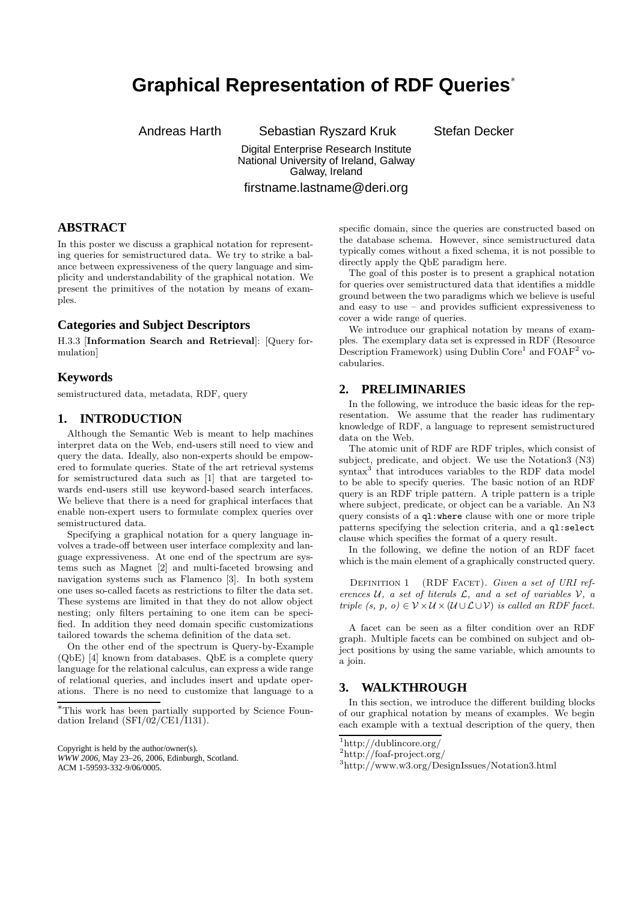# **Graphical Representation of RDF Queries**<sup>∗</sup>

Andreas Harth Sebastian Ryszard Kruk Stefan Decker

Digital Enterprise Research Institute National University of Ireland, Galway Galway, Ireland

firstname.lastname@deri.org

## **ABSTRACT**

In this poster we discuss a graphical notation for representing queries for semistructured data. We try to strike a balance between expressiveness of the query language and simplicity and understandability of the graphical notation. We present the primitives of the notation by means of examples.

## **Categories and Subject Descriptors**

H.3.3 [Information Search and Retrieval]: [Query formulation]

#### **Keywords**

semistructured data, metadata, RDF, query

## **1. INTRODUCTION**

Although the Semantic Web is meant to help machines interpret data on the Web, end-users still need to view and query the data. Ideally, also non-experts should be empowered to formulate queries. State of the art retrieval systems for semistructured data such as [1] that are targeted towards end-users still use keyword-based search interfaces. We believe that there is a need for graphical interfaces that enable non-expert users to formulate complex queries over semistructured data.

Specifying a graphical notation for a query language involves a trade-off between user interface complexity and language expressiveness. At one end of the spectrum are systems such as Magnet [2] and multi-faceted browsing and navigation systems such as Flamenco [3]. In both system one uses so-called facets as restrictions to filter the data set. These systems are limited in that they do not allow object nesting; only filters pertaining to one item can be specified. In addition they need domain specific customizations tailored towards the schema definition of the data set.

On the other end of the spectrum is Query-by-Example (QbE) [4] known from databases. QbE is a complete query language for the relational calculus, can express a wide range of relational queries, and includes insert and update operations. There is no need to customize that language to a

ACM 1-59593-332-9/06/0005.

specific domain, since the queries are constructed based on the database schema. However, since semistructured data typically comes without a fixed schema, it is not possible to directly apply the QbE paradigm here.

The goal of this poster is to present a graphical notation for queries over semistructured data that identifies a middle ground between the two paradigms which we believe is useful and easy to use – and provides sufficient expressiveness to cover a wide range of queries.

We introduce our graphical notation by means of examples. The exemplary data set is expressed in RDF (Resource Description Framework) using Dublin Core<sup>1</sup> and  $\widehat{FOAF}^2$  vocabularies.

#### **2. PRELIMINARIES**

In the following, we introduce the basic ideas for the representation. We assume that the reader has rudimentary knowledge of RDF, a language to represent semistructured data on the Web.

The atomic unit of RDF are RDF triples, which consist of subject, predicate, and object. We use the Notation3 (N3) syntax<sup>3</sup> that introduces variables to the RDF data model to be able to specify queries. The basic notion of an RDF query is an RDF triple pattern. A triple pattern is a triple where subject, predicate, or object can be a variable. An N3 query consists of a ql:where clause with one or more triple patterns specifying the selection criteria, and a ql:select clause which specifies the format of a query result.

In the following, we define the notion of an RDF facet which is the main element of a graphically constructed query.

DEFINITION 1 (RDF FACET). Given a set of URI references  $U$ , a set of literals  $\mathcal{L}$ , and a set of variables  $V$ , a triple  $(s, p, o) \in \mathcal{V} \times \mathcal{U} \times (\mathcal{U} \cup \mathcal{L} \cup \mathcal{V})$  is called an RDF facet.

A facet can be seen as a filter condition over an RDF graph. Multiple facets can be combined on subject and object positions by using the same variable, which amounts to a join.

#### **3. WALKTHROUGH**

In this section, we introduce the different building blocks of our graphical notation by means of examples. We begin each example with a textual description of the query, then

<sup>∗</sup>This work has been partially supported by Science Foundation Ireland  $(SFI/02/CE1/I131)$ .

Copyright is held by the author/owner(s). *WWW 2006,* May 23–26, 2006, Edinburgh, Scotland.

<sup>1</sup>http://dublincore.org/

 $^2$ http://foaf-project.org/

<sup>3</sup>http://www.w3.org/DesignIssues/Notation3.html